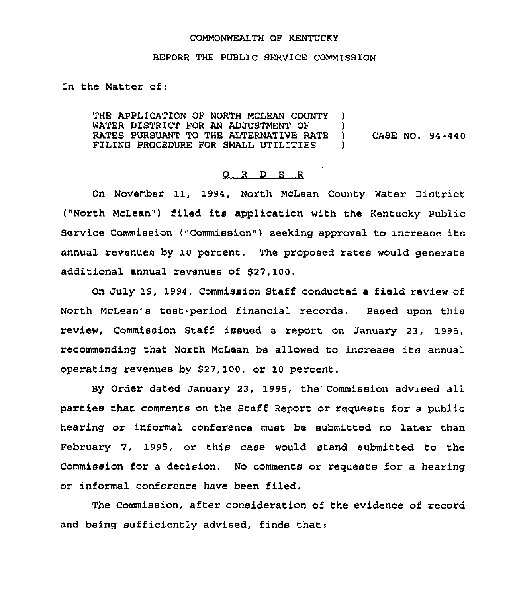#### COMMONWEALTH OF KENTUCKY

### BEFORE THE PUBLIC SERVICE COMMISSION

In the Matter of:

THE APPLICATION OF NORTH MCLEAN COUNTY ) WATER DISTRICT FOR AN ADJUSTMENT OF  $\qquad$ ) RATES PURSUANT TO THE ALTERNATIVE RATE ) CASE NO. 94-440<br>FILING PROCEDURE FOR SMALL UTILITIES ) FILING PROCEDURE FOR SMALL UTILITIES )

## 0 <sup>R</sup> <sup>D</sup> E <sup>R</sup>

On November 11, 1994, North McLean County Water District ("North McLean") filed its application with the Kentucky Public Service Commission ("Commission") seeking approval to increase its annual xevenues by 10 percent, The proposed rates would generate additional annual revenues of \$27,100.

On July 19, 1994, Commission Staff conducted a field review of North McLean's test-period financial records. Based upon this review, Commission Staff issued a report on January 23, 1995, recommending that North McLean be allowed to increase its annual operating revenues by \$27, 100, ox 10 percent.

By Order dated January 23, 1995, the'ommission advised all paxties that comments on the Staff Repoxt or requests for a public hearing or informal conference must be submitted no later than February 7, 1995, or this case would stand submitted to the Commission for a decision. No comments or requests for a hearing ox informal conference have been filed,

The Commission, after consideration of the evidence of record and being sufficiently advised, finds that: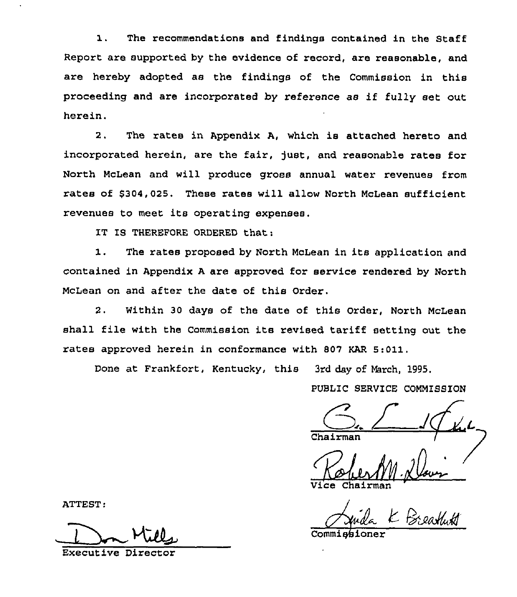The recommendations and findings contained in the Staff  $\mathbf{1}$ . Report are supported by the evidence of record, are reasonable, and are hereby adopted as the findings of the Commission in this proceeding and are incorporated by reference as if fully set out herein.

2. The rates in Appendix A, which is attached hereto and incorporated herein, are the fair, just, and reasonable rates for North McLean and will produce gross annual water revenues from rates of \$304,025. These rates will allow North McLean sufficient revenues to meet its operating expenses.

IT IS THEREFORE ORDERED that:

1. The rates proposed by North McLean in its application and contained in Appendix <sup>A</sup> are approved for service rendered by North McLean on and after the date of this Order.

2. Within 30 days of the date of this Order, North McLean shall file with the Commission its revised tariff setting out the rates approved herein in conformance with 807 KAR 5:011.

Done at Frankfort, Kentucky, this 3rd day of March, 1995.

PUBLIC SERVICE COMMISSION

Vice Chairma

ATTEST:

Executive Director

Commissioner